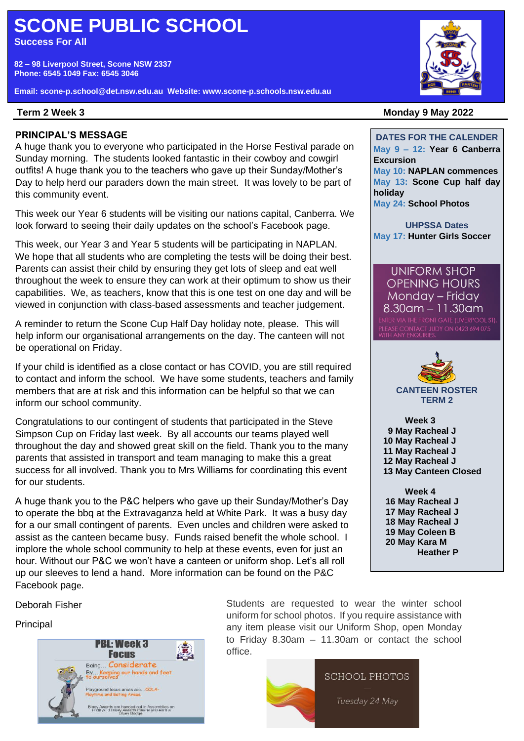# **SCONE PUBLIC SCHOOL**

**Success For All**

**82 – 98 Liverpool Street, Scone NSW 2337 Phone: 6545 1049 Fax: 6545 3046**

**Email: scone-p.school@det.nsw.edu.au Website: www.scone-p.schools.nsw.edu.au**

### Term 2 Week 3

### **PRINCIPAL'S MESSAGE**

A huge thank you to everyone who participated in the Horse Festival parade on Sunday morning. The students looked fantastic in their cowboy and cowgirl outfits! A huge thank you to the teachers who gave up their Sunday/Mother's Day to help herd our paraders down the main street. It was lovely to be part of this community event.

This week our Year 6 students will be visiting our nations capital, Canberra. We look forward to seeing their daily updates on the school's Facebook page.

This week, our Year 3 and Year 5 students will be participating in NAPLAN. We hope that all students who are completing the tests will be doing their best. Parents can assist their child by ensuring they get lots of sleep and eat well throughout the week to ensure they can work at their optimum to show us their capabilities. We, as teachers, know that this is one test on one day and will be viewed in conjunction with class-based assessments and teacher judgement.

A reminder to return the Scone Cup Half Day holiday note, please. This will help inform our organisational arrangements on the day. The canteen will not be operational on Friday.

If your child is identified as a close contact or has COVID, you are still required to contact and inform the school. We have some students, teachers and family members that are at risk and this information can be helpful so that we can inform our school community.

Congratulations to our contingent of students that participated in the Steve Simpson Cup on Friday last week. By all accounts our teams played well throughout the day and showed great skill on the field. Thank you to the many parents that assisted in transport and team managing to make this a great success for all involved. Thank you to Mrs Williams for coordinating this event for our students.

A huge thank you to the P&C helpers who gave up their Sunday/Mother's Day to operate the bbq at the Extravaganza held at White Park. It was a busy day for a our small contingent of parents. Even uncles and children were asked to assist as the canteen became busy. Funds raised benefit the whole school. I implore the whole school community to help at these events, even for just an hour. Without our P&C we won't have a canteen or uniform shop. Let's all roll up our sleeves to lend a hand. More information can be found on the P&C Facebook page.

Deborah Fisher

# Principal



external photos. If you require assistance with ncipal **Tuesday 24 Mayrton any item please visit our Uniform Shop, open Monday .** Students are requested to wear the winter school to Friday 8.30am – 11.30am or contact the school office.





#### **Term 2 Week 3 Monday 9 May 2022**

**DATES FOR THE CALENDER May 9 – 12: Year 6 Canberra Excursion May 10: NAPLAN commences May 13: Scone Cup half day holiday May 24: School Photos**

**UHPSSA Dates May 17: Hunter Girls Soccer**

**UNIFORM SHOP OPENING HOURS** Monday - Friday  $8.30$ am - 11.30am **JUDY ON 0423 694 075** 



**TERM 2**

**Week 3 May Racheal J May Racheal J 11 May Racheal J May Racheal J May Canteen Closed**

**Week 4 16 May Racheal J 17 May Racheal J 18 May Racheal J 19 May Coleen B 20 May Kara M Heather P**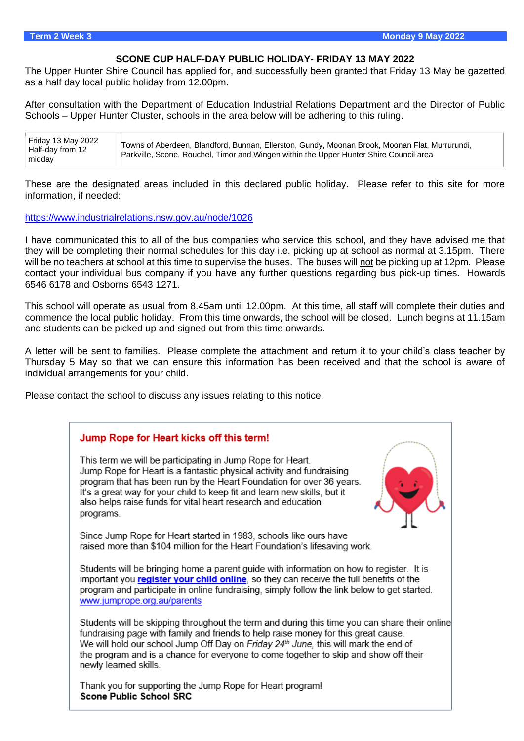#### **SCONE CUP HALF-DAY PUBLIC HOLIDAY- FRIDAY 13 MAY 2022**

The Upper Hunter Shire Council has applied for, and successfully been granted that Friday 13 May be gazetted as a half day local public holiday from 12.00pm.

After consultation with the Department of Education Industrial Relations Department and the Director of Public Schools – Upper Hunter Cluster, schools in the area below will be adhering to this ruling.

| Friday 13 May 2022<br>Half-day from 12<br>midday | Towns of Aberdeen, Blandford, Bunnan, Ellerston, Gundy, Moonan Brook, Moonan Flat, Murrurundi,<br>Parkville, Scone, Rouchel, Timor and Wingen within the Upper Hunter Shire Council area |
|--------------------------------------------------|------------------------------------------------------------------------------------------------------------------------------------------------------------------------------------------|
|--------------------------------------------------|------------------------------------------------------------------------------------------------------------------------------------------------------------------------------------------|

These are the designated areas included in this declared public holiday. Please refer to this site for more information, if needed:

#### <https://www.industrialrelations.nsw.gov.au/node/1026>

I have communicated this to all of the bus companies who service this school, and they have advised me that they will be completing their normal schedules for this day i.e. picking up at school as normal at 3.15pm. There will be no teachers at school at this time to supervise the buses. The buses will not be picking up at 12pm. Please contact your individual bus company if you have any further questions regarding bus pick-up times. Howards 6546 6178 and Osborns 6543 1271.

This school will operate as usual from 8.45am until 12.00pm. At this time, all staff will complete their duties and commence the local public holiday. From this time onwards, the school will be closed. Lunch begins at 11.15am and students can be picked up and signed out from this time onwards.

A letter will be sent to families. Please complete the attachment and return it to your child's class teacher by Thursday 5 May so that we can ensure this information has been received and that the school is aware of individual arrangements for your child.

Please contact the school to discuss any issues relating to this notice.

# Jump Rope for Heart kicks off this term!

This term we will be participating in Jump Rope for Heart. Jump Rope for Heart is a fantastic physical activity and fundraising program that has been run by the Heart Foundation for over 36 years. It's a great way for your child to keep fit and learn new skills, but it also helps raise funds for vital heart research and education programs.



Since Jump Rope for Heart started in 1983, schools like ours have raised more than \$104 million for the Heart Foundation's lifesaving work.

Students will be bringing home a parent quide with information on how to register. It is important you register your child online, so they can receive the full benefits of the program and participate in online fundraising, simply follow the link below to get started. www.jumprope.org.au/parents

Students will be skipping throughout the term and during this time you can share their online fundraising page with family and friends to help raise money for this great cause. We will hold our school Jump Off Day on Friday 24th June, this will mark the end of the program and is a chance for everyone to come together to skip and show off their newly learned skills.

Thank you for supporting the Jump Rope for Heart program! **Scone Public School SRC**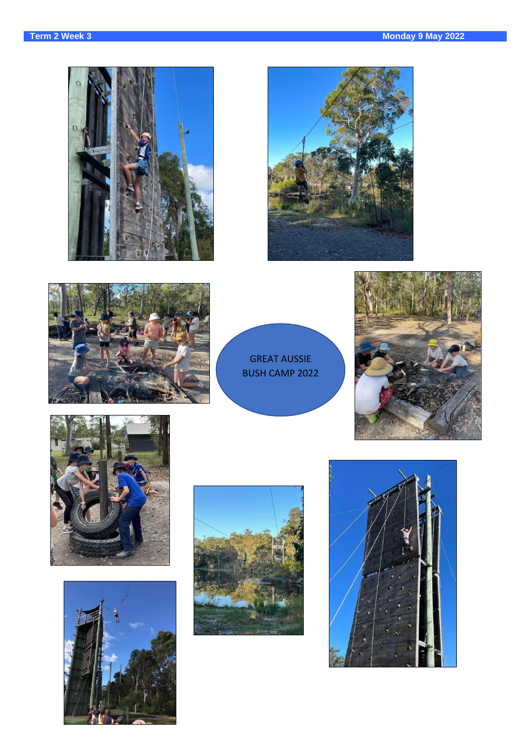





GREAT AUSSIE BUSH CAMP 2022